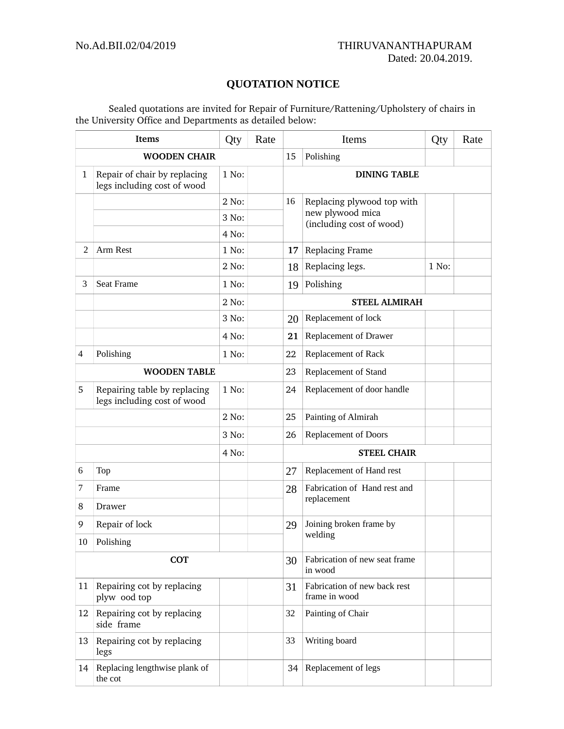## **QUOTATION NOTICE**

Sealed quotations are invited for Repair of Furniture/Rattening/Upholstery of chairs in the University Office and Departments as detailed below:

| Items               |                                                             | Qty   | Rate | Items                                    |                                               | Qty   | Rate |  |
|---------------------|-------------------------------------------------------------|-------|------|------------------------------------------|-----------------------------------------------|-------|------|--|
| <b>WOODEN CHAIR</b> |                                                             |       |      | 15                                       | Polishing                                     |       |      |  |
| 1                   | Repair of chair by replacing<br>legs including cost of wood | 1 No: |      |                                          | <b>DINING TABLE</b>                           |       |      |  |
|                     |                                                             | 2 No: |      | 16                                       | Replacing plywood top with                    |       |      |  |
|                     |                                                             | 3 No: |      |                                          | new plywood mica<br>(including cost of wood)  |       |      |  |
|                     |                                                             | 4 No: |      |                                          |                                               |       |      |  |
| 2                   | Arm Rest                                                    | 1 No: |      | 17                                       | Replacing Frame                               |       |      |  |
|                     |                                                             | 2 No: |      | 18                                       | Replacing legs.                               | 1 No: |      |  |
| 3                   | Seat Frame                                                  | 1 No: |      | 19                                       | Polishing                                     |       |      |  |
|                     |                                                             | 2 No: |      |                                          | <b>STEEL ALMIRAH</b>                          |       |      |  |
|                     |                                                             | 3 No: |      | 20                                       | Replacement of lock                           |       |      |  |
|                     |                                                             | 4 No: |      | 21                                       | Replacement of Drawer                         |       |      |  |
| $\overline{4}$      | Polishing                                                   | 1 No: |      | 22                                       | Replacement of Rack                           |       |      |  |
| <b>WOODEN TABLE</b> |                                                             |       | 23   | Replacement of Stand                     |                                               |       |      |  |
| 5                   | Repairing table by replacing<br>legs including cost of wood | 1 No: |      | 24                                       | Replacement of door handle                    |       |      |  |
|                     |                                                             | 2 No: |      | 25                                       | Painting of Almirah                           |       |      |  |
|                     |                                                             | 3 No: |      | 26                                       | Replacement of Doors                          |       |      |  |
| 4 No:               |                                                             |       |      | <b>STEEL CHAIR</b>                       |                                               |       |      |  |
| 6                   | Top                                                         |       |      | 27                                       | Replacement of Hand rest                      |       |      |  |
| 7                   | Frame                                                       |       |      | 28                                       | Fabrication of Hand rest and<br>replacement   |       |      |  |
| 8                   | Drawer                                                      |       |      |                                          |                                               |       |      |  |
| 9                   | Repair of lock                                              |       |      | 29                                       | Joining broken frame by<br>welding            |       |      |  |
| 10                  | Polishing                                                   |       |      |                                          |                                               |       |      |  |
| <b>COT</b>          |                                                             |       | 30   | Fabrication of new seat frame<br>in wood |                                               |       |      |  |
| 11                  | Repairing cot by replacing<br>plyw ood top                  |       |      | 31                                       | Fabrication of new back rest<br>frame in wood |       |      |  |
| 12                  | Repairing cot by replacing<br>side frame                    |       |      | 32                                       | Painting of Chair                             |       |      |  |
| 13                  | Repairing cot by replacing<br>legs                          |       |      | 33                                       | Writing board                                 |       |      |  |
| 14                  | Replacing lengthwise plank of<br>the cot                    |       |      | 34                                       | Replacement of legs                           |       |      |  |